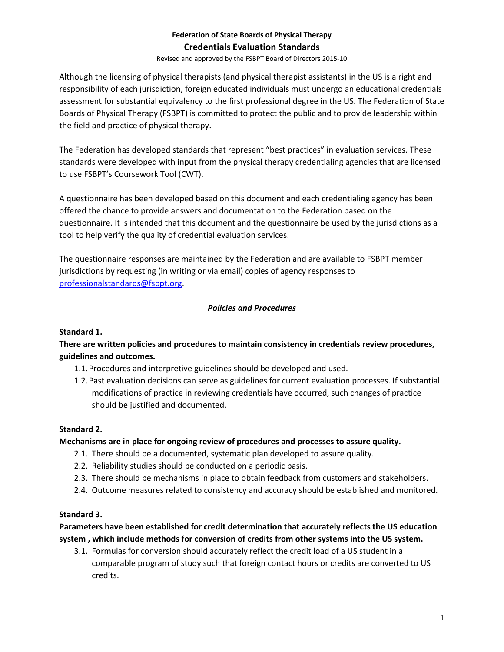Revised and approved by the FSBPT Board of Directors 2015-10

Although the licensing of physical therapists (and physical therapist assistants) in the US is a right and responsibility of each jurisdiction, foreign educated individuals must undergo an educational credentials assessment for substantial equivalency to the first professional degree in the US. The Federation of State Boards of Physical Therapy (FSBPT) is committed to protect the public and to provide leadership within the field and practice of physical therapy.

The Federation has developed standards that represent "best practices" in evaluation services. These standards were developed with input from the physical therapy credentialing agencies that are licensed to use FSBPT's Coursework Tool (CWT).

A questionnaire has been developed based on this document and each credentialing agency has been offered the chance to provide answers and documentation to the Federation based on the questionnaire. It is intended that this document and the questionnaire be used by the jurisdictions as a tool to help verify the quality of credential evaluation services.

The questionnaire responses are maintained by the Federation and are available to FSBPT member jurisdictions by requesting (in writing or via email) copies of agency responses to [professionalstandards@fsbpt.org.](mailto:professionalstandards@fsbpt.org)

## *Policies and Procedures*

## **Standard 1.**

**There are written policies and procedures to maintain consistency in credentials review procedures, guidelines and outcomes.**

- 1.1.Procedures and interpretive guidelines should be developed and used.
- 1.2.Past evaluation decisions can serve as guidelines for current evaluation processes. If substantial modifications of practice in reviewing credentials have occurred, such changes of practice should be justified and documented.

#### **Standard 2.**

#### **Mechanisms are in place for ongoing review of procedures and processes to assure quality.**

- 2.1. There should be a documented, systematic plan developed to assure quality.
- 2.2. Reliability studies should be conducted on a periodic basis.
- 2.3. There should be mechanisms in place to obtain feedback from customers and stakeholders.
- 2.4. Outcome measures related to consistency and accuracy should be established and monitored.

#### **Standard 3.**

**Parameters have been established for credit determination that accurately reflects the US education system , which include methods for conversion of credits from other systems into the US system.** 

3.1. Formulas for conversion should accurately reflect the credit load of a US student in a comparable program of study such that foreign contact hours or credits are converted to US credits.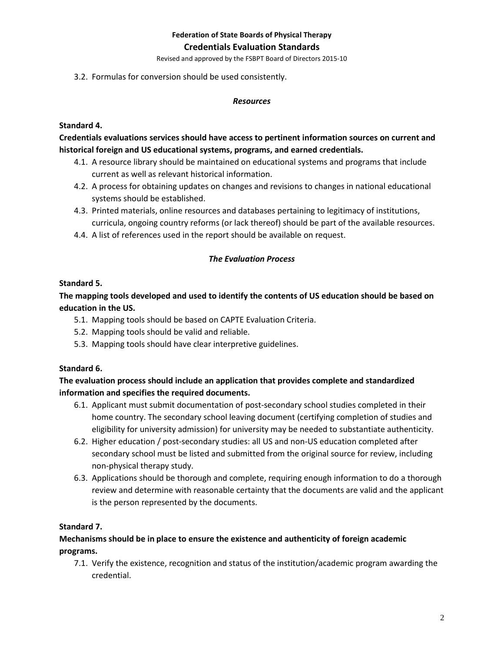Revised and approved by the FSBPT Board of Directors 2015-10

3.2. Formulas for conversion should be used consistently.

#### *Resources*

### **Standard 4.**

## **Credentials evaluations services should have access to pertinent information sources on current and historical foreign and US educational systems, programs, and earned credentials.**

- 4.1. A resource library should be maintained on educational systems and programs that include current as well as relevant historical information.
- 4.2. A process for obtaining updates on changes and revisions to changes in national educational systems should be established.
- 4.3. Printed materials, online resources and databases pertaining to legitimacy of institutions, curricula, ongoing country reforms (or lack thereof) should be part of the available resources.
- 4.4. A list of references used in the report should be available on request.

### *The Evaluation Process*

### **Standard 5.**

## **The mapping tools developed and used to identify the contents of US education should be based on education in the US.**

- 5.1. Mapping tools should be based on CAPTE Evaluation Criteria.
- 5.2. Mapping tools should be valid and reliable.
- 5.3. Mapping tools should have clear interpretive guidelines.

#### **Standard 6.**

## **The evaluation process should include an application that provides complete and standardized information and specifies the required documents.**

- 6.1. Applicant must submit documentation of post-secondary school studies completed in their home country. The secondary school leaving document (certifying completion of studies and eligibility for university admission) for university may be needed to substantiate authenticity.
- 6.2. Higher education / post-secondary studies: all US and non-US education completed after secondary school must be listed and submitted from the original source for review, including non-physical therapy study.
- 6.3. Applications should be thorough and complete, requiring enough information to do a thorough review and determine with reasonable certainty that the documents are valid and the applicant is the person represented by the documents.

## **Standard 7.**

# **Mechanisms should be in place to ensure the existence and authenticity of foreign academic programs.**

7.1. Verify the existence, recognition and status of the institution/academic program awarding the credential.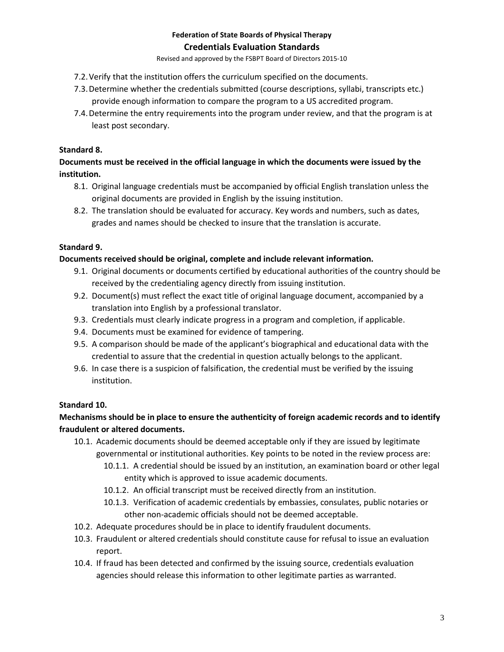Revised and approved by the FSBPT Board of Directors 2015-10

- 7.2.Verify that the institution offers the curriculum specified on the documents.
- 7.3.Determine whether the credentials submitted (course descriptions, syllabi, transcripts etc.) provide enough information to compare the program to a US accredited program.
- 7.4.Determine the entry requirements into the program under review, and that the program is at least post secondary.

## **Standard 8.**

**Documents must be received in the official language in which the documents were issued by the institution.** 

- 8.1. Original language credentials must be accompanied by official English translation unless the original documents are provided in English by the issuing institution.
- 8.2. The translation should be evaluated for accuracy. Key words and numbers, such as dates, grades and names should be checked to insure that the translation is accurate.

### **Standard 9.**

#### **Documents received should be original, complete and include relevant information.**

- 9.1. Original documents or documents certified by educational authorities of the country should be received by the credentialing agency directly from issuing institution.
- 9.2. Document(s) must reflect the exact title of original language document, accompanied by a translation into English by a professional translator.
- 9.3. Credentials must clearly indicate progress in a program and completion, if applicable.
- 9.4. Documents must be examined for evidence of tampering.
- 9.5. A comparison should be made of the applicant's biographical and educational data with the credential to assure that the credential in question actually belongs to the applicant.
- 9.6. In case there is a suspicion of falsification, the credential must be verified by the issuing institution.

## **Standard 10.**

## **Mechanisms should be in place to ensure the authenticity of foreign academic records and to identify fraudulent or altered documents.**

- 10.1. Academic documents should be deemed acceptable only if they are issued by legitimate governmental or institutional authorities. Key points to be noted in the review process are:
	- 10.1.1. A credential should be issued by an institution, an examination board or other legal entity which is approved to issue academic documents.
	- 10.1.2. An official transcript must be received directly from an institution.
	- 10.1.3. Verification of academic credentials by embassies, consulates, public notaries or other non-academic officials should not be deemed acceptable.
- 10.2. Adequate procedures should be in place to identify fraudulent documents.
- 10.3. Fraudulent or altered credentials should constitute cause for refusal to issue an evaluation report.
- 10.4. If fraud has been detected and confirmed by the issuing source, credentials evaluation agencies should release this information to other legitimate parties as warranted.